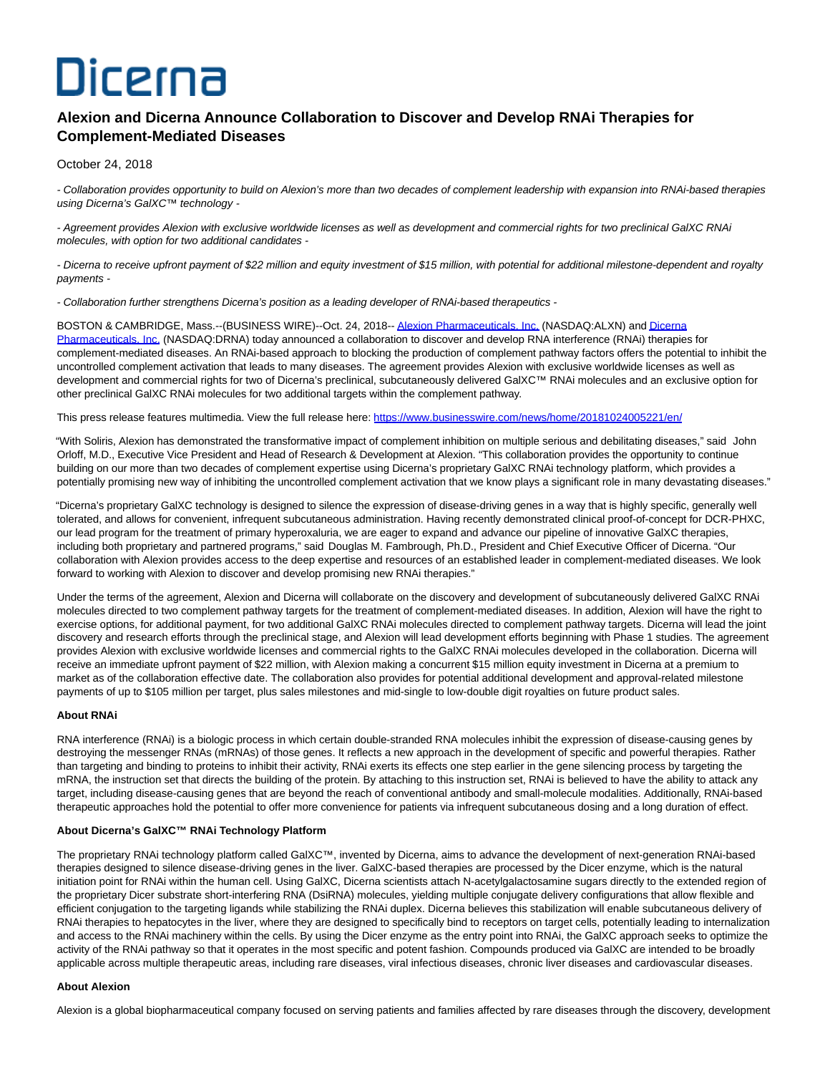# Dicerna

# **Alexion and Dicerna Announce Collaboration to Discover and Develop RNAi Therapies for Complement-Mediated Diseases**

# October 24, 2018

- Collaboration provides opportunity to build on Alexion's more than two decades of complement leadership with expansion into RNAi-based therapies using Dicerna's GalXC™ technology -

- Agreement provides Alexion with exclusive worldwide licenses as well as development and commercial rights for two preclinical GalXC RNAi molecules, with option for two additional candidates -

- Dicerna to receive upfront payment of \$22 million and equity investment of \$15 million, with potential for additional milestone-dependent and royalty payments -

- Collaboration further strengthens Dicerna's position as a leading developer of RNAi-based therapeutics -

BOSTON & CAMBRIDGE, Mass.--(BUSINESS WIRE)--Oct. 24, 2018-[- Alexion Pharmaceuticals, Inc. \(](http://cts.businesswire.com/ct/CT?id=smartlink&url=http%3A%2F%2Fwww.alexion.com%2F&esheet=51887865&newsitemid=20181024005221&lan=en-US&anchor=Alexion+Pharmaceuticals%2C+Inc.&index=1&md5=bb356499418c2353cc2820d387fd436e)NASDAQ:ALXN) an[d Dicerna](http://cts.businesswire.com/ct/CT?id=smartlink&url=http%3A%2F%2Fwww.dicerna.com&esheet=51887865&newsitemid=20181024005221&lan=en-US&anchor=Dicerna+Pharmaceuticals%2C+Inc.&index=2&md5=1794892c87267c150d5182a2e5ea204c) Pharmaceuticals, Inc. (NASDAQ:DRNA) today announced a collaboration to discover and develop RNA interference (RNAi) therapies for complement-mediated diseases. An RNAi-based approach to blocking the production of complement pathway factors offers the potential to inhibit the uncontrolled complement activation that leads to many diseases. The agreement provides Alexion with exclusive worldwide licenses as well as development and commercial rights for two of Dicerna's preclinical, subcutaneously delivered GalXC™ RNAi molecules and an exclusive option for other preclinical GalXC RNAi molecules for two additional targets within the complement pathway.

This press release features multimedia. View the full release here:<https://www.businesswire.com/news/home/20181024005221/en/>

"With Soliris, Alexion has demonstrated the transformative impact of complement inhibition on multiple serious and debilitating diseases," said John Orloff, M.D., Executive Vice President and Head of Research & Development at Alexion. "This collaboration provides the opportunity to continue building on our more than two decades of complement expertise using Dicerna's proprietary GalXC RNAi technology platform, which provides a potentially promising new way of inhibiting the uncontrolled complement activation that we know plays a significant role in many devastating diseases."

"Dicerna's proprietary GalXC technology is designed to silence the expression of disease-driving genes in a way that is highly specific, generally well tolerated, and allows for convenient, infrequent subcutaneous administration. Having recently demonstrated clinical proof-of-concept for DCR-PHXC, our lead program for the treatment of primary hyperoxaluria, we are eager to expand and advance our pipeline of innovative GalXC therapies, including both proprietary and partnered programs," said Douglas M. Fambrough, Ph.D., President and Chief Executive Officer of Dicerna. "Our collaboration with Alexion provides access to the deep expertise and resources of an established leader in complement-mediated diseases. We look forward to working with Alexion to discover and develop promising new RNAi therapies."

Under the terms of the agreement, Alexion and Dicerna will collaborate on the discovery and development of subcutaneously delivered GalXC RNAi molecules directed to two complement pathway targets for the treatment of complement-mediated diseases. In addition, Alexion will have the right to exercise options, for additional payment, for two additional GalXC RNAi molecules directed to complement pathway targets. Dicerna will lead the joint discovery and research efforts through the preclinical stage, and Alexion will lead development efforts beginning with Phase 1 studies. The agreement provides Alexion with exclusive worldwide licenses and commercial rights to the GalXC RNAi molecules developed in the collaboration. Dicerna will receive an immediate upfront payment of \$22 million, with Alexion making a concurrent \$15 million equity investment in Dicerna at a premium to market as of the collaboration effective date. The collaboration also provides for potential additional development and approval-related milestone payments of up to \$105 million per target, plus sales milestones and mid-single to low-double digit royalties on future product sales.

# **About RNAi**

RNA interference (RNAi) is a biologic process in which certain double-stranded RNA molecules inhibit the expression of disease-causing genes by destroying the messenger RNAs (mRNAs) of those genes. It reflects a new approach in the development of specific and powerful therapies. Rather than targeting and binding to proteins to inhibit their activity, RNAi exerts its effects one step earlier in the gene silencing process by targeting the mRNA, the instruction set that directs the building of the protein. By attaching to this instruction set, RNAi is believed to have the ability to attack any target, including disease-causing genes that are beyond the reach of conventional antibody and small-molecule modalities. Additionally, RNAi-based therapeutic approaches hold the potential to offer more convenience for patients via infrequent subcutaneous dosing and a long duration of effect.

# **About Dicerna's GalXC™ RNAi Technology Platform**

The proprietary RNAi technology platform called GalXC™, invented by Dicerna, aims to advance the development of next-generation RNAi-based therapies designed to silence disease-driving genes in the liver. GalXC-based therapies are processed by the Dicer enzyme, which is the natural initiation point for RNAi within the human cell. Using GalXC, Dicerna scientists attach N-acetylgalactosamine sugars directly to the extended region of the proprietary Dicer substrate short-interfering RNA (DsiRNA) molecules, yielding multiple conjugate delivery configurations that allow flexible and efficient conjugation to the targeting ligands while stabilizing the RNAi duplex. Dicerna believes this stabilization will enable subcutaneous delivery of RNAi therapies to hepatocytes in the liver, where they are designed to specifically bind to receptors on target cells, potentially leading to internalization and access to the RNAi machinery within the cells. By using the Dicer enzyme as the entry point into RNAi, the GalXC approach seeks to optimize the activity of the RNAi pathway so that it operates in the most specific and potent fashion. Compounds produced via GalXC are intended to be broadly applicable across multiple therapeutic areas, including rare diseases, viral infectious diseases, chronic liver diseases and cardiovascular diseases.

# **About Alexion**

Alexion is a global biopharmaceutical company focused on serving patients and families affected by rare diseases through the discovery, development